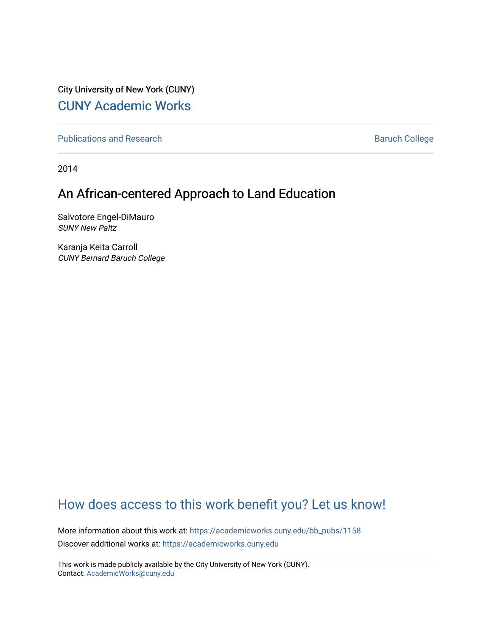City University of New York (CUNY) [CUNY Academic Works](https://academicworks.cuny.edu/) 

[Publications and Research](https://academicworks.cuny.edu/bb_pubs) **Baruch College** Baruch College

2014

## An African-centered Approach to Land Education

Salvotore Engel-DiMauro SUNY New Paltz

Karanja Keita Carroll CUNY Bernard Baruch College

# [How does access to this work benefit you? Let us know!](http://ols.cuny.edu/academicworks/?ref=https://academicworks.cuny.edu/bb_pubs/1158)

More information about this work at: [https://academicworks.cuny.edu/bb\\_pubs/1158](https://academicworks.cuny.edu/bb_pubs/1158) Discover additional works at: [https://academicworks.cuny.edu](https://academicworks.cuny.edu/?)

This work is made publicly available by the City University of New York (CUNY). Contact: [AcademicWorks@cuny.edu](mailto:AcademicWorks@cuny.edu)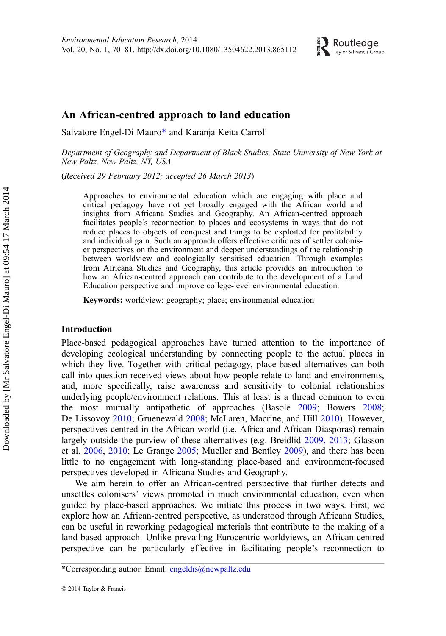

## An African-centred approach to land education

Salvatore Engel-Di Mauro\* and Karanja Keita Carroll

Department of Geography and Department of Black Studies, State University of New York at New Paltz, New Paltz, NY, USA

(Received 29 February 2012; accepted 26 March 2013)

Approaches to environmental education which are engaging with place and critical pedagogy have not yet broadly engaged with the African world and insights from Africana Studies and Geography. An African-centred approach facilitates people's reconnection to places and ecosystems in ways that do not reduce places to objects of conquest and things to be exploited for profitability and individual gain. Such an approach offers effective critiques of settler coloniser perspectives on the environment and deeper understandings of the relationship between worldview and ecologically sensitised education. Through examples from Africana Studies and Geography, this article provides an introduction to how an African-centred approach can contribute to the development of a Land Education perspective and improve college-level environmental education.

Keywords: worldview; geography; place; environmental education

#### Introduction

Place-based pedagogical approaches have turned attention to the importance of developing ecological understanding by connecting people to the actual places in which they live. Together with critical pedagogy, place-based alternatives can both call into question received views about how people relate to land and environments, and, more specifically, raise awareness and sensitivity to colonial relationships underlying people/environment relations. This at least is a thread common to even the most mutually antipathetic of approaches (Basole [2009;](#page-11-0) Bowers [2008](#page-11-0); De Lissovoy [2010;](#page-11-0) Gruenewald [2008;](#page-12-0) McLaren, Macrine, and Hill [2010\)](#page-12-0). However, perspectives centred in the African world (i.e. Africa and African Diasporas) remain largely outside the purview of these alternatives (e.g. Breidlid [2009, 2013](#page-11-0); Glasson et al. [2006,](#page-11-0) [2010;](#page-11-0) Le Grange [2005](#page-12-0); Mueller and Bentley [2009](#page-12-0)), and there has been little to no engagement with long-standing place-based and environment-focused perspectives developed in Africana Studies and Geography.

We aim herein to offer an African-centred perspective that further detects and unsettles colonisers' views promoted in much environmental education, even when guided by place-based approaches. We initiate this process in two ways. First, we explore how an African-centred perspective, as understood through Africana Studies, can be useful in reworking pedagogical materials that contribute to the making of a land-based approach. Unlike prevailing Eurocentric worldviews, an African-centred perspective can be particularly effective in facilitating people's reconnection to

<sup>\*</sup>Corresponding author. Email: [engeldis@newpaltz.edu](mailto:engeldis@newpaltz.edu)

<sup>© 2014</sup> Taylor & Francis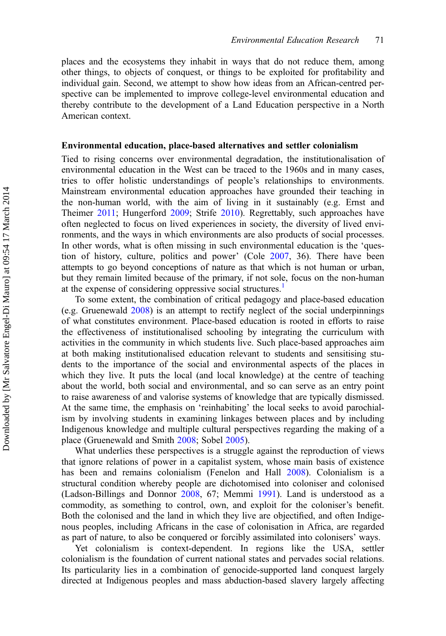places and the ecosystems they inhabit in ways that do not reduce them, among other things, to objects of conquest, or things to be exploited for profitability and individual gain. Second, we attempt to show how ideas from an African-centred perspective can be implemented to improve college-level environmental education and thereby contribute to the development of a Land Education perspective in a North American context.

#### Environmental education, place-based alternatives and settler colonialism

Tied to rising concerns over environmental degradation, the institutionalisation of environmental education in the West can be traced to the 1960s and in many cases, tries to offer holistic understandings of people's relationships to environments. Mainstream environmental education approaches have grounded their teaching in the non-human world, with the aim of living in it sustainably (e.g. Ernst and Theimer [2011](#page-11-0); Hungerford [2009](#page-12-0); Strife [2010](#page-12-0)). Regrettably, such approaches have often neglected to focus on lived experiences in society, the diversity of lived environments, and the ways in which environments are also products of social processes. In other words, what is often missing in such environmental education is the 'question of history, culture, politics and power' (Cole [2007,](#page-11-0) 36). There have been attempts to go beyond conceptions of nature as that which is not human or urban, but they remain limited because of the primary, if not sole, focus on the non-human at the expense of considering oppressive social structures.<sup>[1](#page-10-0)</sup>

To some extent, the combination of critical pedagogy and place-based education (e.g. Gruenewald [2008\)](#page-12-0) is an attempt to rectify neglect of the social underpinnings of what constitutes environment. Place-based education is rooted in efforts to raise the effectiveness of institutionalised schooling by integrating the curriculum with activities in the community in which students live. Such place-based approaches aim at both making institutionalised education relevant to students and sensitising students to the importance of the social and environmental aspects of the places in which they live. It puts the local (and local knowledge) at the centre of teaching about the world, both social and environmental, and so can serve as an entry point to raise awareness of and valorise systems of knowledge that are typically dismissed. At the same time, the emphasis on 'reinhabiting' the local seeks to avoid parochialism by involving students in examining linkages between places and by including Indigenous knowledge and multiple cultural perspectives regarding the making of a place (Gruenewald and Smith [2008;](#page-12-0) Sobel [2005\)](#page-12-0).

What underlies these perspectives is a struggle against the reproduction of views that ignore relations of power in a capitalist system, whose main basis of existence has been and remains colonialism (Fenelon and Hall [2008](#page-11-0)). Colonialism is a structural condition whereby people are dichotomised into coloniser and colonised (Ladson-Billings and Donnor [2008](#page-12-0), 67; Memmi [1991](#page-12-0)). Land is understood as a commodity, as something to control, own, and exploit for the coloniser's benefit. Both the colonised and the land in which they live are objectified, and often Indigenous peoples, including Africans in the case of colonisation in Africa, are regarded as part of nature, to also be conquered or forcibly assimilated into colonisers' ways.

Yet colonialism is context-dependent. In regions like the USA, settler colonialism is the foundation of current national states and pervades social relations. Its particularity lies in a combination of genocide-supported land conquest largely directed at Indigenous peoples and mass abduction-based slavery largely affecting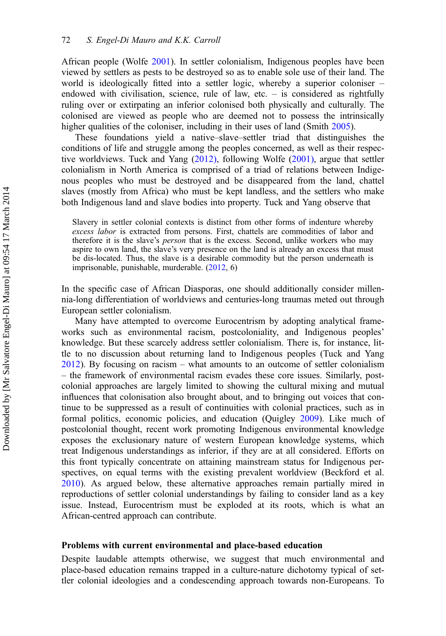African people (Wolfe [2001\)](#page-12-0). In settler colonialism, Indigenous peoples have been viewed by settlers as pests to be destroyed so as to enable sole use of their land. The world is ideologically fitted into a settler logic, whereby a superior coloniser – endowed with civilisation, science, rule of law, etc.  $-$  is considered as rightfully ruling over or extirpating an inferior colonised both physically and culturally. The colonised are viewed as people who are deemed not to possess the intrinsically higher qualities of the coloniser, including in their uses of land (Smith [2005\)](#page-12-0).

These foundations yield a native–slave–settler triad that distinguishes the conditions of life and struggle among the peoples concerned, as well as their respective worldviews. Tuck and Yang [\(2012\),](#page-12-0) following Wolfe ([2001\)](#page-12-0), argue that settler colonialism in North America is comprised of a triad of relations between Indigenous peoples who must be destroyed and be disappeared from the land, chattel slaves (mostly from Africa) who must be kept landless, and the settlers who make both Indigenous land and slave bodies into property. Tuck and Yang observe that

Slavery in settler colonial contexts is distinct from other forms of indenture whereby excess labor is extracted from persons. First, chattels are commodities of labor and therefore it is the slave's person that is the excess. Second, unlike workers who may aspire to own land, the slave's very presence on the land is already an excess that must be dis-located. Thus, the slave is a desirable commodity but the person underneath is imprisonable, punishable, murderable. ([2012,](#page-12-0) 6)

In the specific case of African Diasporas, one should additionally consider millennia-long differentiation of worldviews and centuries-long traumas meted out through European settler colonialism.

Many have attempted to overcome Eurocentrism by adopting analytical frameworks such as environmental racism, postcoloniality, and Indigenous peoples' knowledge. But these scarcely address settler colonialism. There is, for instance, little to no discussion about returning land to Indigenous peoples (Tuck and Yang [2012\)](#page-12-0). By focusing on racism – what amounts to an outcome of settler colonialism – the framework of environmental racism evades these core issues. Similarly, postcolonial approaches are largely limited to showing the cultural mixing and mutual influences that colonisation also brought about, and to bringing out voices that continue to be suppressed as a result of continuities with colonial practices, such as in formal politics, economic policies, and education (Quigley [2009\)](#page-12-0). Like much of postcolonial thought, recent work promoting Indigenous environmental knowledge exposes the exclusionary nature of western European knowledge systems, which treat Indigenous understandings as inferior, if they are at all considered. Efforts on this front typically concentrate on attaining mainstream status for Indigenous perspectives, on equal terms with the existing prevalent worldview (Beckford et al. [2010\)](#page-11-0). As argued below, these alternative approaches remain partially mired in reproductions of settler colonial understandings by failing to consider land as a key issue. Instead, Eurocentrism must be exploded at its roots, which is what an African-centred approach can contribute.

#### Problems with current environmental and place-based education

Despite laudable attempts otherwise, we suggest that much environmental and place-based education remains trapped in a culture-nature dichotomy typical of settler colonial ideologies and a condescending approach towards non-Europeans. To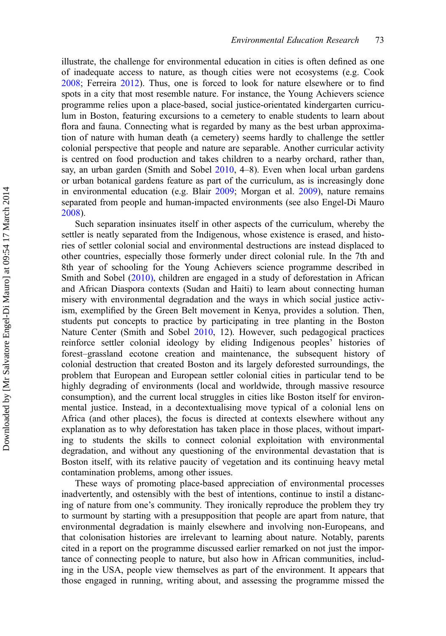illustrate, the challenge for environmental education in cities is often defined as one of inadequate access to nature, as though cities were not ecosystems (e.g. Cook [2008;](#page-11-0) Ferreira [2012](#page-11-0)). Thus, one is forced to look for nature elsewhere or to find spots in a city that most resemble nature. For instance, the Young Achievers science programme relies upon a place-based, social justice-orientated kindergarten curriculum in Boston, featuring excursions to a cemetery to enable students to learn about flora and fauna. Connecting what is regarded by many as the best urban approximation of nature with human death (a cemetery) seems hardly to challenge the settler colonial perspective that people and nature are separable. Another curricular activity is centred on food production and takes children to a nearby orchard, rather than, say, an urban garden (Smith and Sobel [2010,](#page-12-0) 4–8). Even when local urban gardens or urban botanical gardens feature as part of the curriculum, as is increasingly done in environmental education (e.g. Blair [2009](#page-11-0); Morgan et al. [2009](#page-12-0)), nature remains separated from people and human-impacted environments (see also Engel-Di Mauro [2008\)](#page-11-0).

Such separation insinuates itself in other aspects of the curriculum, whereby the settler is neatly separated from the Indigenous, whose existence is erased, and histories of settler colonial social and environmental destructions are instead displaced to other countries, especially those formerly under direct colonial rule. In the 7th and 8th year of schooling for the Young Achievers science programme described in Smith and Sobel [\(2010\),](#page-12-0) children are engaged in a study of deforestation in African and African Diaspora contexts (Sudan and Haiti) to learn about connecting human misery with environmental degradation and the ways in which social justice activism, exemplified by the Green Belt movement in Kenya, provides a solution. Then, students put concepts to practice by participating in tree planting in the Boston Nature Center (Smith and Sobel [2010,](#page-12-0) 12). However, such pedagogical practices reinforce settler colonial ideology by eliding Indigenous peoples' histories of forest–grassland ecotone creation and maintenance, the subsequent history of colonial destruction that created Boston and its largely deforested surroundings, the problem that European and European settler colonial cities in particular tend to be highly degrading of environments (local and worldwide, through massive resource consumption), and the current local struggles in cities like Boston itself for environmental justice. Instead, in a decontextualising move typical of a colonial lens on Africa (and other places), the focus is directed at contexts elsewhere without any explanation as to why deforestation has taken place in those places, without imparting to students the skills to connect colonial exploitation with environmental degradation, and without any questioning of the environmental devastation that is Boston itself, with its relative paucity of vegetation and its continuing heavy metal contamination problems, among other issues.

These ways of promoting place-based appreciation of environmental processes inadvertently, and ostensibly with the best of intentions, continue to instil a distancing of nature from one's community. They ironically reproduce the problem they try to surmount by starting with a presupposition that people are apart from nature, that environmental degradation is mainly elsewhere and involving non-Europeans, and that colonisation histories are irrelevant to learning about nature. Notably, parents cited in a report on the programme discussed earlier remarked on not just the importance of connecting people to nature, but also how in African communities, including in the USA, people view themselves as part of the environment. It appears that those engaged in running, writing about, and assessing the programme missed the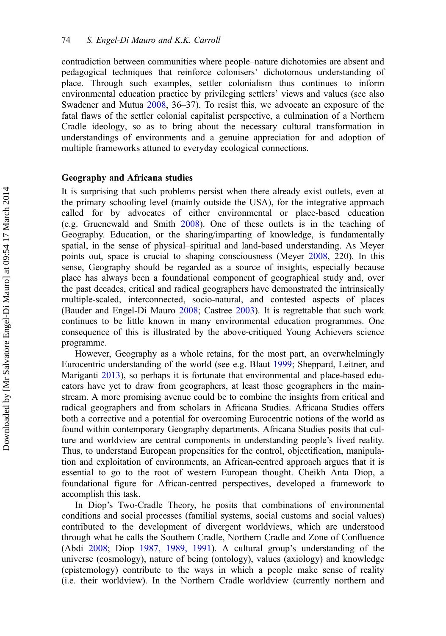contradiction between communities where people–nature dichotomies are absent and pedagogical techniques that reinforce colonisers' dichotomous understanding of place. Through such examples, settler colonialism thus continues to inform environmental education practice by privileging settlers' views and values (see also Swadener and Mutua [2008,](#page-12-0) 36–37). To resist this, we advocate an exposure of the fatal flaws of the settler colonial capitalist perspective, a culmination of a Northern Cradle ideology, so as to bring about the necessary cultural transformation in understandings of environments and a genuine appreciation for and adoption of multiple frameworks attuned to everyday ecological connections.

### Geography and Africana studies

It is surprising that such problems persist when there already exist outlets, even at the primary schooling level (mainly outside the USA), for the integrative approach called for by advocates of either environmental or place-based education (e.g. Gruenewald and Smith [2008\)](#page-12-0). One of these outlets is in the teaching of Geography. Education, or the sharing/imparting of knowledge, is fundamentally spatial, in the sense of physical–spiritual and land-based understanding. As Meyer points out, space is crucial to shaping consciousness (Meyer [2008](#page-12-0), 220). In this sense, Geography should be regarded as a source of insights, especially because place has always been a foundational component of geographical study and, over the past decades, critical and radical geographers have demonstrated the intrinsically multiple-scaled, interconnected, socio-natural, and contested aspects of places (Bauder and Engel-Di Mauro [2008](#page-11-0); Castree [2003\)](#page-11-0). It is regrettable that such work continues to be little known in many environmental education programmes. One consequence of this is illustrated by the above-critiqued Young Achievers science programme.

However, Geography as a whole retains, for the most part, an overwhelmingly Eurocentric understanding of the world (see e.g. Blaut [1999](#page-11-0); Sheppard, Leitner, and Mariganti [2013](#page-12-0)), so perhaps it is fortunate that environmental and place-based educators have yet to draw from geographers, at least those geographers in the mainstream. A more promising avenue could be to combine the insights from critical and radical geographers and from scholars in Africana Studies. Africana Studies offers both a corrective and a potential for overcoming Eurocentric notions of the world as found within contemporary Geography departments. Africana Studies posits that culture and worldview are central components in understanding people's lived reality. Thus, to understand European propensities for the control, objectification, manipulation and exploitation of environments, an African-centred approach argues that it is essential to go to the root of western European thought. Cheikh Anta Diop, a foundational figure for African-centred perspectives, developed a framework to accomplish this task.

In Diop's Two-Cradle Theory, he posits that combinations of environmental conditions and social processes (familial systems, social customs and social values) contributed to the development of divergent worldviews, which are understood through what he calls the Southern Cradle, Northern Cradle and Zone of Confluence (Abdi [2008;](#page-11-0) Diop [1987, 1989, 1991\)](#page-11-0). A cultural group's understanding of the universe (cosmology), nature of being (ontology), values (axiology) and knowledge (epistemology) contribute to the ways in which a people make sense of reality (i.e. their worldview). In the Northern Cradle worldview (currently northern and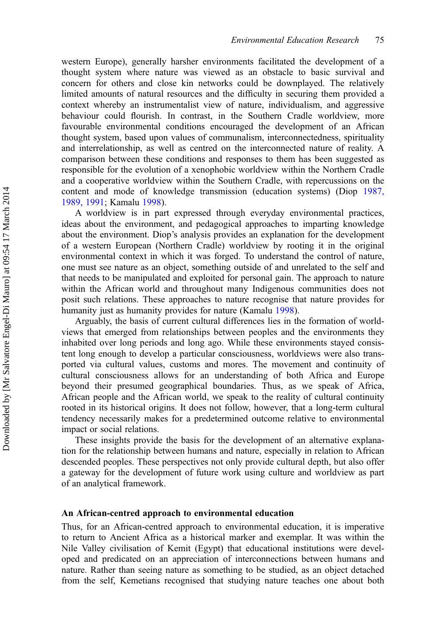western Europe), generally harsher environments facilitated the development of a thought system where nature was viewed as an obstacle to basic survival and concern for others and close kin networks could be downplayed. The relatively limited amounts of natural resources and the difficulty in securing them provided a context whereby an instrumentalist view of nature, individualism, and aggressive behaviour could flourish. In contrast, in the Southern Cradle worldview, more favourable environmental conditions encouraged the development of an African thought system, based upon values of communalism, interconnectedness, spirituality and interrelationship, as well as centred on the interconnected nature of reality. A comparison between these conditions and responses to them has been suggested as responsible for the evolution of a xenophobic worldview within the Northern Cradle and a cooperative worldview within the Southern Cradle, with repercussions on the content and mode of knowledge transmission (education systems) (Diop [1987,](#page-11-0) [1989, 1991;](#page-11-0) Kamalu [1998](#page-12-0)).

A worldview is in part expressed through everyday environmental practices, ideas about the environment, and pedagogical approaches to imparting knowledge about the environment. Diop's analysis provides an explanation for the development of a western European (Northern Cradle) worldview by rooting it in the original environmental context in which it was forged. To understand the control of nature, one must see nature as an object, something outside of and unrelated to the self and that needs to be manipulated and exploited for personal gain. The approach to nature within the African world and throughout many Indigenous communities does not posit such relations. These approaches to nature recognise that nature provides for humanity just as humanity provides for nature (Kamalu [1998\)](#page-12-0).

Arguably, the basis of current cultural differences lies in the formation of worldviews that emerged from relationships between peoples and the environments they inhabited over long periods and long ago. While these environments stayed consistent long enough to develop a particular consciousness, worldviews were also transported via cultural values, customs and mores. The movement and continuity of cultural consciousness allows for an understanding of both Africa and Europe beyond their presumed geographical boundaries. Thus, as we speak of Africa, African people and the African world, we speak to the reality of cultural continuity rooted in its historical origins. It does not follow, however, that a long-term cultural tendency necessarily makes for a predetermined outcome relative to environmental impact or social relations.

These insights provide the basis for the development of an alternative explanation for the relationship between humans and nature, especially in relation to African descended peoples. These perspectives not only provide cultural depth, but also offer a gateway for the development of future work using culture and worldview as part of an analytical framework.

#### An African-centred approach to environmental education

Thus, for an African-centred approach to environmental education, it is imperative to return to Ancient Africa as a historical marker and exemplar. It was within the Nile Valley civilisation of Kemit (Egypt) that educational institutions were developed and predicated on an appreciation of interconnections between humans and nature. Rather than seeing nature as something to be studied, as an object detached from the self, Kemetians recognised that studying nature teaches one about both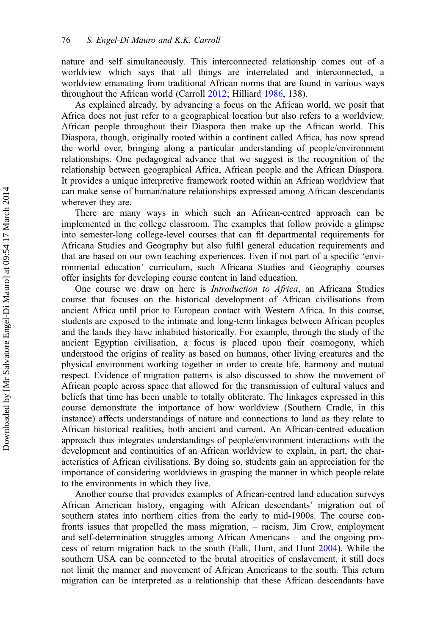nature and self simultaneously. This interconnected relationship comes out of a worldview which says that all things are interrelated and interconnected, a worldview emanating from traditional African norms that are found in various ways throughout the African world (Carroll [2012](#page-11-0); Hilliard [1986](#page-12-0), 138).

As explained already, by advancing a focus on the African world, we posit that Africa does not just refer to a geographical location but also refers to a worldview. African people throughout their Diaspora then make up the African world. This Diaspora, though, originally rooted within a continent called Africa, has now spread the world over, bringing along a particular understanding of people/environment relationships. One pedagogical advance that we suggest is the recognition of the relationship between geographical Africa, African people and the African Diaspora. It provides a unique interpretive framework rooted within an African worldview that can make sense of human/nature relationships expressed among African descendants wherever they are.

There are many ways in which such an African-centred approach can be implemented in the college classroom. The examples that follow provide a glimpse into semester-long college-level courses that can fit departmental requirements for Africana Studies and Geography but also fulfil general education requirements and that are based on our own teaching experiences. Even if not part of a specific 'environmental education' curriculum, such Africana Studies and Geography courses offer insights for developing course content in land education.

One course we draw on here is Introduction to Africa, an Africana Studies course that focuses on the historical development of African civilisations from ancient Africa until prior to European contact with Western Africa. In this course, students are exposed to the intimate and long-term linkages between African peoples and the lands they have inhabited historically. For example, through the study of the ancient Egyptian civilisation, a focus is placed upon their cosmogony, which understood the origins of reality as based on humans, other living creatures and the physical environment working together in order to create life, harmony and mutual respect. Evidence of migration patterns is also discussed to show the movement of African people across space that allowed for the transmission of cultural values and beliefs that time has been unable to totally obliterate. The linkages expressed in this course demonstrate the importance of how worldview (Southern Cradle, in this instance) affects understandings of nature and connections to land as they relate to African historical realities, both ancient and current. An African-centred education approach thus integrates understandings of people/environment interactions with the development and continuities of an African worldview to explain, in part, the characteristics of African civilisations. By doing so, students gain an appreciation for the importance of considering worldviews in grasping the manner in which people relate to the environments in which they live.

Another course that provides examples of African-centred land education surveys African American history, engaging with African descendants' migration out of southern states into northern cities from the early to mid-1900s. The course confronts issues that propelled the mass migration, – racism, Jim Crow, employment and self-determination struggles among African Americans – and the ongoing process of return migration back to the south (Falk, Hunt, and Hunt [2004](#page-11-0)). While the southern USA can be connected to the brutal atrocities of enslavement, it still does not limit the manner and movement of African Americans to the south. This return migration can be interpreted as a relationship that these African descendants have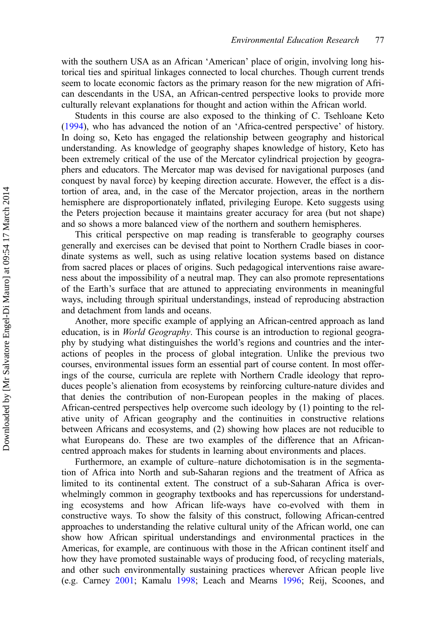with the southern USA as an African 'American' place of origin, involving long historical ties and spiritual linkages connected to local churches. Though current trends seem to locate economic factors as the primary reason for the new migration of African descendants in the USA, an African-centred perspective looks to provide more culturally relevant explanations for thought and action within the African world.

Students in this course are also exposed to the thinking of C. Tsehloane Keto [\(1994](#page-12-0)), who has advanced the notion of an 'Africa-centred perspective' of history. In doing so, Keto has engaged the relationship between geography and historical understanding. As knowledge of geography shapes knowledge of history, Keto has been extremely critical of the use of the Mercator cylindrical projection by geographers and educators. The Mercator map was devised for navigational purposes (and conquest by naval force) by keeping direction accurate. However, the effect is a distortion of area, and, in the case of the Mercator projection, areas in the northern hemisphere are disproportionately inflated, privileging Europe. Keto suggests using the Peters projection because it maintains greater accuracy for area (but not shape) and so shows a more balanced view of the northern and southern hemispheres.

This critical perspective on map reading is transferable to geography courses generally and exercises can be devised that point to Northern Cradle biases in coordinate systems as well, such as using relative location systems based on distance from sacred places or places of origins. Such pedagogical interventions raise awareness about the impossibility of a neutral map. They can also promote representations of the Earth's surface that are attuned to appreciating environments in meaningful ways, including through spiritual understandings, instead of reproducing abstraction and detachment from lands and oceans.

Another, more specific example of applying an African-centred approach as land education, is in *World Geography*. This course is an introduction to regional geography by studying what distinguishes the world's regions and countries and the interactions of peoples in the process of global integration. Unlike the previous two courses, environmental issues form an essential part of course content. In most offerings of the course, curricula are replete with Northern Cradle ideology that reproduces people's alienation from ecosystems by reinforcing culture-nature divides and that denies the contribution of non-European peoples in the making of places. African-centred perspectives help overcome such ideology by (1) pointing to the relative unity of African geography and the continuities in constructive relations between Africans and ecosystems, and (2) showing how places are not reducible to what Europeans do. These are two examples of the difference that an Africancentred approach makes for students in learning about environments and places.

Furthermore, an example of culture–nature dichotomisation is in the segmentation of Africa into North and sub-Saharan regions and the treatment of Africa as limited to its continental extent. The construct of a sub-Saharan Africa is overwhelmingly common in geography textbooks and has repercussions for understanding ecosystems and how African life-ways have co-evolved with them in constructive ways. To show the falsity of this construct, following African-centred approaches to understanding the relative cultural unity of the African world, one can show how African spiritual understandings and environmental practices in the Americas, for example, are continuous with those in the African continent itself and how they have promoted sustainable ways of producing food, of recycling materials, and other such environmentally sustaining practices wherever African people live (e.g. Carney [2001](#page-11-0); Kamalu [1998](#page-12-0); Leach and Mearns [1996;](#page-12-0) Reij, Scoones, and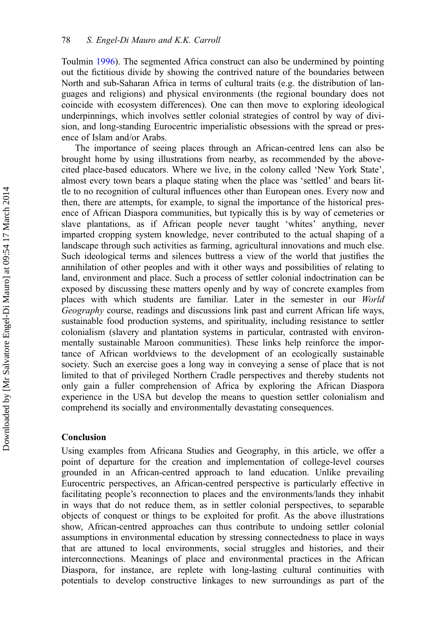Toulmin [1996](#page-12-0)). The segmented Africa construct can also be undermined by pointing out the fictitious divide by showing the contrived nature of the boundaries between North and sub-Saharan Africa in terms of cultural traits (e.g. the distribution of languages and religions) and physical environments (the regional boundary does not coincide with ecosystem differences). One can then move to exploring ideological underpinnings, which involves settler colonial strategies of control by way of division, and long-standing Eurocentric imperialistic obsessions with the spread or presence of Islam and/or Arabs.

The importance of seeing places through an African-centred lens can also be brought home by using illustrations from nearby, as recommended by the abovecited place-based educators. Where we live, in the colony called 'New York State', almost every town bears a plaque stating when the place was 'settled' and bears little to no recognition of cultural influences other than European ones. Every now and then, there are attempts, for example, to signal the importance of the historical presence of African Diaspora communities, but typically this is by way of cemeteries or slave plantations, as if African people never taught 'whites' anything, never imparted cropping system knowledge, never contributed to the actual shaping of a landscape through such activities as farming, agricultural innovations and much else. Such ideological terms and silences buttress a view of the world that justifies the annihilation of other peoples and with it other ways and possibilities of relating to land, environment and place. Such a process of settler colonial indoctrination can be exposed by discussing these matters openly and by way of concrete examples from places with which students are familiar. Later in the semester in our World Geography course, readings and discussions link past and current African life ways, sustainable food production systems, and spirituality, including resistance to settler colonialism (slavery and plantation systems in particular, contrasted with environmentally sustainable Maroon communities). These links help reinforce the importance of African worldviews to the development of an ecologically sustainable society. Such an exercise goes a long way in conveying a sense of place that is not limited to that of privileged Northern Cradle perspectives and thereby students not only gain a fuller comprehension of Africa by exploring the African Diaspora experience in the USA but develop the means to question settler colonialism and comprehend its socially and environmentally devastating consequences.

### Conclusion

Using examples from Africana Studies and Geography, in this article, we offer a point of departure for the creation and implementation of college-level courses grounded in an African-centred approach to land education. Unlike prevailing Eurocentric perspectives, an African-centred perspective is particularly effective in facilitating people's reconnection to places and the environments/lands they inhabit in ways that do not reduce them, as in settler colonial perspectives, to separable objects of conquest or things to be exploited for profit. As the above illustrations show, African-centred approaches can thus contribute to undoing settler colonial assumptions in environmental education by stressing connectedness to place in ways that are attuned to local environments, social struggles and histories, and their interconnections. Meanings of place and environmental practices in the African Diaspora, for instance, are replete with long-lasting cultural continuities with potentials to develop constructive linkages to new surroundings as part of the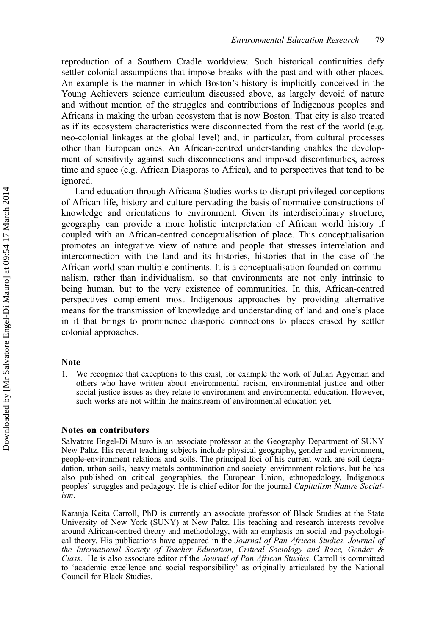<span id="page-10-0"></span>reproduction of a Southern Cradle worldview. Such historical continuities defy settler colonial assumptions that impose breaks with the past and with other places. An example is the manner in which Boston's history is implicitly conceived in the Young Achievers science curriculum discussed above, as largely devoid of nature and without mention of the struggles and contributions of Indigenous peoples and Africans in making the urban ecosystem that is now Boston. That city is also treated as if its ecosystem characteristics were disconnected from the rest of the world (e.g. neo-colonial linkages at the global level) and, in particular, from cultural processes other than European ones. An African-centred understanding enables the development of sensitivity against such disconnections and imposed discontinuities, across time and space (e.g. African Diasporas to Africa), and to perspectives that tend to be ignored.

Land education through Africana Studies works to disrupt privileged conceptions of African life, history and culture pervading the basis of normative constructions of knowledge and orientations to environment. Given its interdisciplinary structure, geography can provide a more holistic interpretation of African world history if coupled with an African-centred conceptualisation of place. This conceptualisation promotes an integrative view of nature and people that stresses interrelation and interconnection with the land and its histories, histories that in the case of the African world span multiple continents. It is a conceptualisation founded on communalism, rather than individualism, so that environments are not only intrinsic to being human, but to the very existence of communities. In this, African-centred perspectives complement most Indigenous approaches by providing alternative means for the transmission of knowledge and understanding of land and one's place in it that brings to prominence diasporic connections to places erased by settler colonial approaches.

### Note

1. We recognize that exceptions to this exist, for example the work of Julian Agyeman and others who have written about environmental racism, environmental justice and other social justice issues as they relate to environment and environmental education. However, such works are not within the mainstream of environmental education yet.

#### Notes on contributors

Salvatore Engel-Di Mauro is an associate professor at the Geography Department of SUNY New Paltz. His recent teaching subjects include physical geography, gender and environment, people-environment relations and soils. The principal foci of his current work are soil degradation, urban soils, heavy metals contamination and society–environment relations, but he has also published on critical geographies, the European Union, ethnopedology, Indigenous peoples' struggles and pedagogy. He is chief editor for the journal Capitalism Nature Socialism.

Karanja Keita Carroll, PhD is currently an associate professor of Black Studies at the State University of New York (SUNY) at New Paltz. His teaching and research interests revolve around African-centred theory and methodology, with an emphasis on social and psychological theory. His publications have appeared in the Journal of Pan African Studies, Journal of the International Society of Teacher Education, Critical Sociology and Race, Gender & Class. He is also associate editor of the Journal of Pan African Studies. Carroll is committed to 'academic excellence and social responsibility' as originally articulated by the National Council for Black Studies.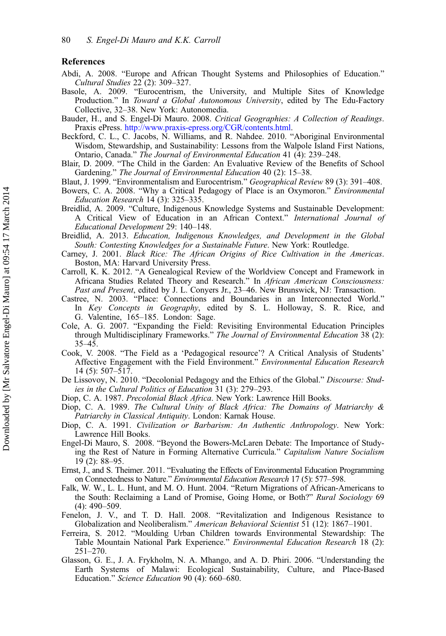#### <span id="page-11-0"></span>References

- Abdi, A. 2008. "Europe and African Thought Systems and Philosophies of Education." Cultural Studies 22 (2): 309–327.
- Basole, A. 2009. "Eurocentrism, the University, and Multiple Sites of Knowledge Production." In Toward a Global Autonomous University, edited by The Edu-Factory Collective, 32–38. New York: Autonomedia.
- Bauder, H., and S. Engel-Di Mauro. 2008. Critical Geographies: A Collection of Readings. Praxis ePress. [http://www.praxis-epress.org/CGR/contents.html.](http://www.praxis-epress.org/CGR/contents.html)
- Beckford, C. L., C. Jacobs, N. Williams, and R. Nahdee. 2010. "Aboriginal Environmental Wisdom, Stewardship, and Sustainability: Lessons from the Walpole Island First Nations, Ontario, Canada." The Journal of Environmental Education 41 (4): 239–248.
- Blair, D. 2009. "The Child in the Garden: An Evaluative Review of the Benefits of School Gardening." The Journal of Environmental Education 40 (2): 15–38.
- Blaut, J. 1999. "Environmentalism and Eurocentrism." Geographical Review 89 (3): 391–408.
- Bowers, C. A. 2008. "Why a Critical Pedagogy of Place is an Oxymoron." Environmental Education Research 14 (3): 325–335.
- Breidlid, A. 2009. "Culture, Indigenous Knowledge Systems and Sustainable Development: A Critical View of Education in an African Context." International Journal of Educational Development 29: 140–148.
- Breidlid, A. 2013. Education, Indigenous Knowledges, and Development in the Global South: Contesting Knowledges for a Sustainable Future. New York: Routledge.
- Carney, J. 2001. Black Rice: The African Origins of Rice Cultivation in the Americas. Boston, MA: Harvard University Press.
- Carroll, K. K. 2012. "A Genealogical Review of the Worldview Concept and Framework in Africana Studies Related Theory and Research." In African American Consciousness: Past and Present, edited by J. L. Conyers Jr., 23–46. New Brunswick, NJ: Transaction.
- Castree, N. 2003. "Place: Connections and Boundaries in an Interconnected World." In Key Concepts in Geography, edited by S. L. Holloway, S. R. Rice, and G. Valentine, 165–185. London: Sage.
- Cole, A. G. 2007. "Expanding the Field: Revisiting Environmental Education Principles through Multidisciplinary Frameworks." The Journal of Environmental Education 38 (2): 35–45.
- Cook, V. 2008. "The Field as a 'Pedagogical resource'? A Critical Analysis of Students' Affective Engagement with the Field Environment." Environmental Education Research 14 (5): 507–517.
- De Lissovoy, N. 2010. "Decolonial Pedagogy and the Ethics of the Global." Discourse: Studies in the Cultural Politics of Education 31 (3): 279–293.
- Diop, C. A. 1987. Precolonial Black Africa. New York: Lawrence Hill Books.
- Diop, C. A. 1989. The Cultural Unity of Black Africa: The Domains of Matriarchy & Patriarchy in Classical Antiquity. London: Karnak House.
- Diop, C. A. 1991. Civilization or Barbarism: An Authentic Anthropology. New York: Lawrence Hill Books.
- Engel-Di Mauro, S. 2008. "Beyond the Bowers-McLaren Debate: The Importance of Studying the Rest of Nature in Forming Alternative Curricula." Capitalism Nature Socialism 19 (2): 88–95.
- Ernst, J., and S. Theimer. 2011. "Evaluating the Effects of Environmental Education Programming on Connectedness to Nature." Environmental Education Research 17 (5): 577–598.
- Falk, W. W., L. L. Hunt, and M. O. Hunt. 2004. "Return Migrations of African-Americans to the South: Reclaiming a Land of Promise, Going Home, or Both?" Rural Sociology 69 (4): 490–509.
- Fenelon, J. V., and T. D. Hall. 2008. "Revitalization and Indigenous Resistance to Globalization and Neoliberalism." American Behavioral Scientist 51 (12): 1867–1901.
- Ferreira, S. 2012. "Moulding Urban Children towards Environmental Stewardship: The Table Mountain National Park Experience." Environmental Education Research 18 (2): 251–270.
- Glasson, G. E., J. A. Frykholm, N. A. Mhango, and A. D. Phiri. 2006. "Understanding the Earth Systems of Malawi: Ecological Sustainability, Culture, and Place-Based Education." Science Education 90 (4): 660–680.